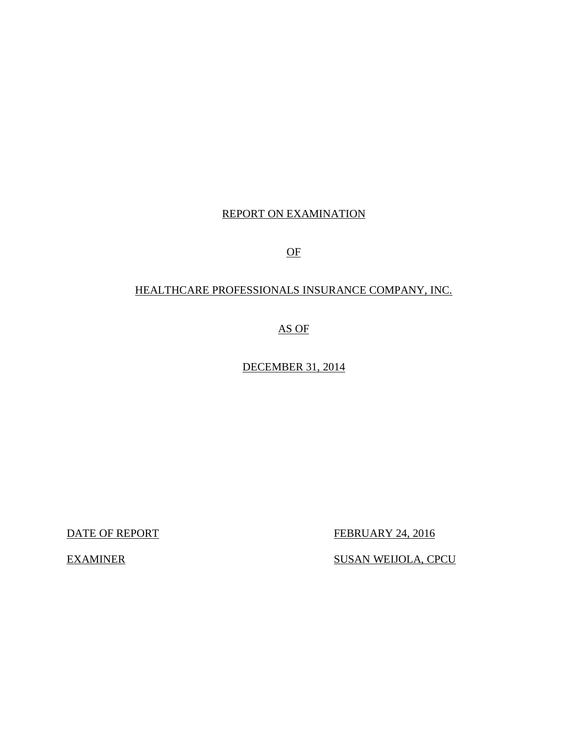# REPORT ON EXAMINATION

OF

# HEALTHCARE PROFESSIONALS INSURANCE COMPANY, INC.

AS OF

DECEMBER 31, 2014

DATE OF REPORT FEBRUARY 24, 2016

EXAMINER SUSAN WEIJOLA, CPCU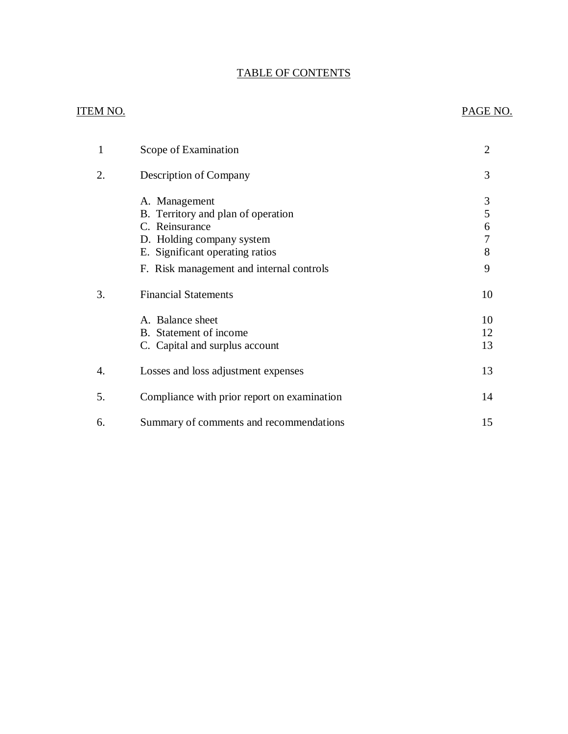# TABLE OF CONTENTS

## ITEM NO. PAGE NO.

| 1  | Scope of Examination                                                                                                                                                              | 2                          |
|----|-----------------------------------------------------------------------------------------------------------------------------------------------------------------------------------|----------------------------|
| 2. | Description of Company                                                                                                                                                            | 3                          |
|    | A. Management<br>B. Territory and plan of operation<br>C. Reinsurance<br>D. Holding company system<br>E. Significant operating ratios<br>F. Risk management and internal controls | 3<br>5<br>6<br>7<br>8<br>9 |
| 3. | <b>Financial Statements</b>                                                                                                                                                       | 10                         |
|    | A. Balance sheet<br>B. Statement of income<br>C. Capital and surplus account                                                                                                      | 10<br>12<br>13             |
| 4. | Losses and loss adjustment expenses                                                                                                                                               | 13                         |
| 5. | Compliance with prior report on examination                                                                                                                                       | 14                         |
| 6. | Summary of comments and recommendations                                                                                                                                           | 15                         |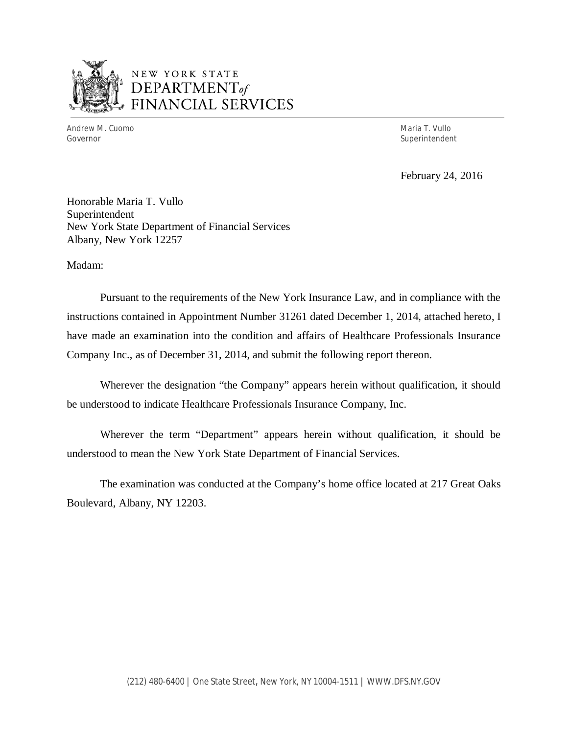

# NEW YORK STATE *DEPARTMENTof*  FINANCIAL SERVICES

Andrew M. Cuomo **Maria T. Vullo** Maria T. Vullo Maria T. Vullo Maria T. Vullo Maria T. Vullo Governor Superintendent Superintendent Superintendent Superintendent Superintendent Superintendent Superintendent Superintendent Superintendent Superintendent Superintendent Superintendent Superintendent Superintendent Sup

February 24, 2016

Honorable Maria T. Vullo Superintendent New York State Department of Financial Services Albany, New York 12257

Madam:

Pursuant to the requirements of the New York Insurance Law, and in compliance with the instructions contained in Appointment Number 31261 dated December 1, 2014, attached hereto, I have made an examination into the condition and affairs of Healthcare Professionals Insurance Company Inc., as of December 31, 2014, and submit the following report thereon.

Wherever the designation "the Company" appears herein without qualification, it should be understood to indicate Healthcare Professionals Insurance Company, Inc.

Wherever the term "Department" appears herein without qualification, it should be understood to mean the New York State Department of Financial Services.

The examination was conducted at the Company's home office located at 217 Great Oaks Boulevard, Albany, NY 12203.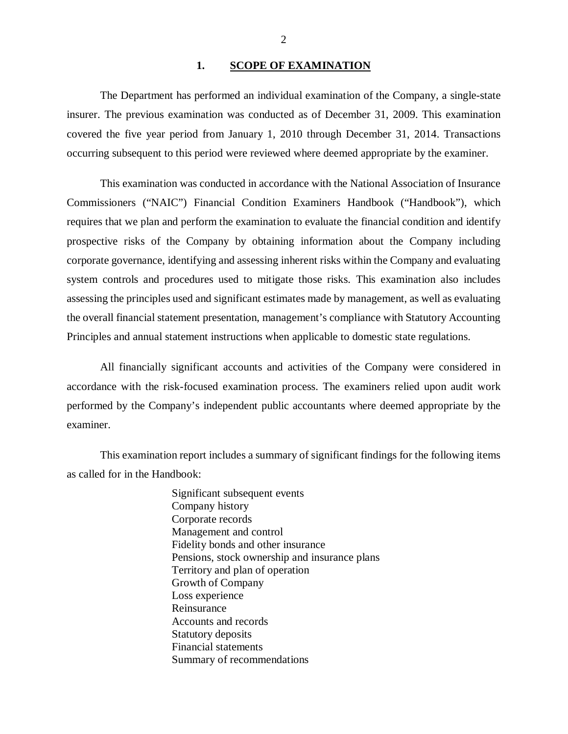## 1. SCOPE OF EXAMINATION

<span id="page-3-0"></span>The Department has performed an individual examination of the Company*,* a single-state insurer. The previous examination was conducted as of December 31, 2009. This examination covered the five year period from January 1, 2010 through December 31, 2014. Transactions occurring subsequent to this period were reviewed where deemed appropriate by the examiner.

This examination was conducted in accordance with the National Association of Insurance Commissioners ("NAIC") Financial Condition Examiners Handbook ("Handbook"), which requires that we plan and perform the examination to evaluate the financial condition and identify prospective risks of the Company by obtaining information about the Company including corporate governance, identifying and assessing inherent risks within the Company and evaluating system controls and procedures used to mitigate those risks. This examination also includes assessing the principles used and significant estimates made by management, as well as evaluating the overall financial statement presentation, management's compliance with Statutory Accounting Principles and annual statement instructions when applicable to domestic state regulations.

All financially significant accounts and activities of the Company were considered in accordance with the risk-focused examination process. The examiners relied upon audit work performed by the Company's independent public accountants where deemed appropriate by the examiner.

This examination report includes a summary of significant findings for the following items as called for in the Handbook:

> Significant subsequent events Company history Corporate records Management and control Fidelity bonds and other insurance Pensions, stock ownership and insurance plans Territory and plan of operation Growth of Company Loss experience Reinsurance Accounts and records Statutory deposits Financial statements Summary of recommendations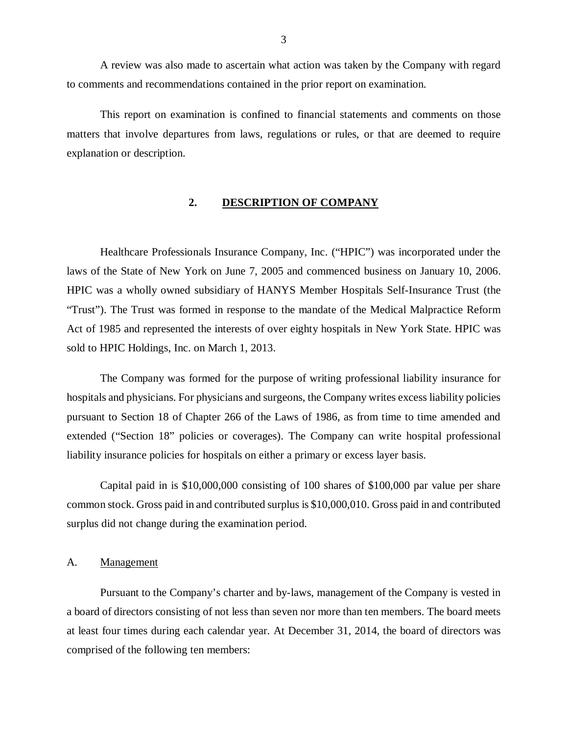<span id="page-4-0"></span>A review was also made to ascertain what action was taken by the Company with regard to comments and recommendations contained in the prior report on examination.

This report on examination is confined to financial statements and comments on those matters that involve departures from laws, regulations or rules, or that are deemed to require explanation or description.

## **2. DESCRIPTION OF COMPANY**

Healthcare Professionals Insurance Company, Inc. ("HPIC") was incorporated under the laws of the State of New York on June 7, 2005 and commenced business on January 10, 2006. HPIC was a wholly owned subsidiary of HANYS Member Hospitals Self-Insurance Trust (the "Trust"). The Trust was formed in response to the mandate of the Medical Malpractice Reform Act of 1985 and represented the interests of over eighty hospitals in New York State. HPIC was sold to HPIC Holdings, Inc. on March 1, 2013.

The Company was formed for the purpose of writing professional liability insurance for hospitals and physicians. For physicians and surgeons, the Company writes excess liability policies pursuant to Section 18 of Chapter 266 of the Laws of 1986, as from time to time amended and extended ("Section 18" policies or coverages). The Company can write hospital professional liability insurance policies for hospitals on either a primary or excess layer basis.

Capital paid in is \$10,000,000 consisting of 100 shares of \$100,000 par value per share common stock. Gross paid in and contributed surplus is \$10,000,010. Gross paid in and contributed surplus did not change during the examination period.

## A. Management

Pursuant to the Company's charter and by-laws, management of the Company is vested in a board of directors consisting of not less than seven nor more than ten members. The board meets at least four times during each calendar year. At December 31, 2014, the board of directors was comprised of the following ten members: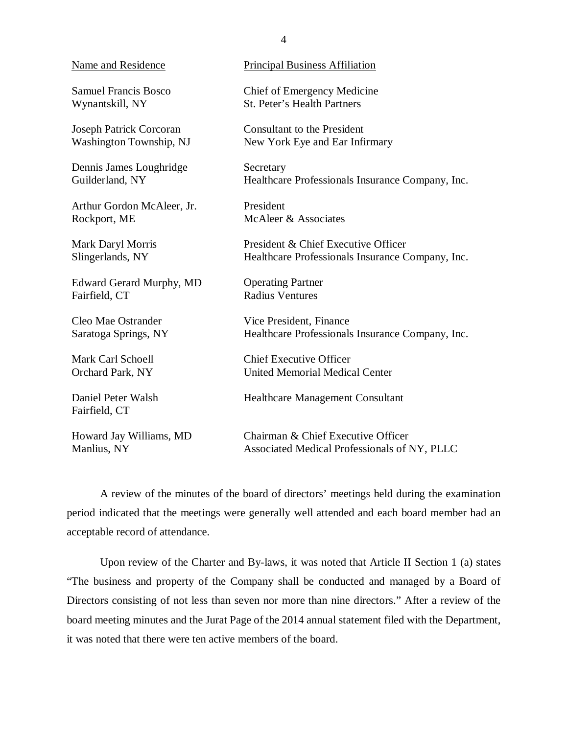| <b>Name and Residence</b>           | <b>Principal Business Affiliation</b>            |
|-------------------------------------|--------------------------------------------------|
|                                     |                                                  |
| <b>Samuel Francis Bosco</b>         | Chief of Emergency Medicine                      |
| Wynantskill, NY                     | <b>St. Peter's Health Partners</b>               |
| <b>Joseph Patrick Corcoran</b>      | <b>Consultant to the President</b>               |
| Washington Township, NJ             | New York Eye and Ear Infirmary                   |
| Dennis James Loughridge             | Secretary                                        |
| Guilderland, NY                     | Healthcare Professionals Insurance Company, Inc. |
|                                     |                                                  |
| Arthur Gordon McAleer, Jr.          | President                                        |
| Rockport, ME                        | McAleer & Associates                             |
| Mark Daryl Morris                   | President & Chief Executive Officer              |
| Slingerlands, NY                    | Healthcare Professionals Insurance Company, Inc. |
| <b>Edward Gerard Murphy, MD</b>     | <b>Operating Partner</b>                         |
| Fairfield, CT                       | <b>Radius Ventures</b>                           |
|                                     |                                                  |
| Cleo Mae Ostrander                  | Vice President, Finance                          |
| Saratoga Springs, NY                | Healthcare Professionals Insurance Company, Inc. |
| Mark Carl Schoell                   | <b>Chief Executive Officer</b>                   |
| Orchard Park, NY                    | <b>United Memorial Medical Center</b>            |
|                                     |                                                  |
| Daniel Peter Walsh<br>Fairfield, CT | <b>Healthcare Management Consultant</b>          |
|                                     |                                                  |
| Howard Jay Williams, MD             | Chairman & Chief Executive Officer               |
| Manlius, NY                         | Associated Medical Professionals of NY, PLLC     |

A review of the minutes of the board of directors' meetings held during the examination period indicated that the meetings were generally well attended and each board member had an acceptable record of attendance.

Upon review of the Charter and By-laws, it was noted that Article II Section 1 (a) states "The business and property of the Company shall be conducted and managed by a Board of Directors consisting of not less than seven nor more than nine directors." After a review of the board meeting minutes and the Jurat Page of the 2014 annual statement filed with the Department, it was noted that there were ten active members of the board.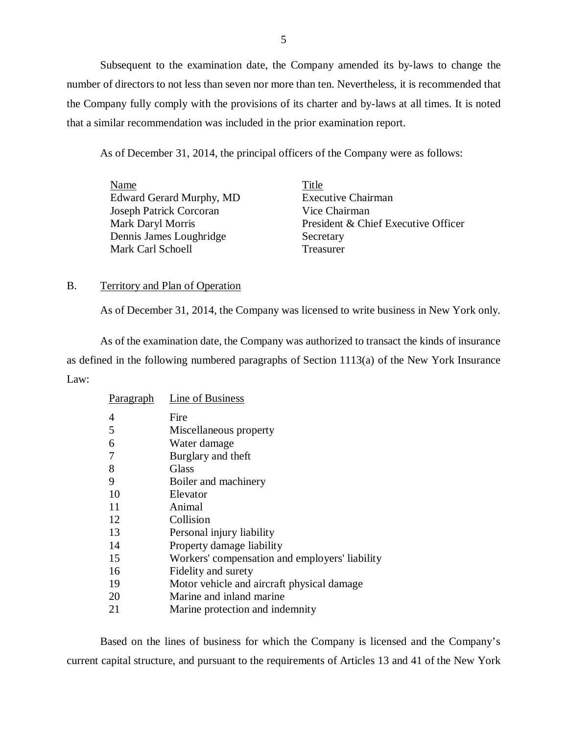<span id="page-6-0"></span>Subsequent to the examination date, the Company amended its by-laws to change the number of directors to not less than seven nor more than ten. Nevertheless, it is recommended that the Company fully comply with the provisions of its charter and by-laws at all times. It is noted that a similar recommendation was included in the prior examination report.

As of December 31, 2014, the principal officers of the Company were as follows:

| Name                     | Title                               |
|--------------------------|-------------------------------------|
| Edward Gerard Murphy, MD | <b>Executive Chairman</b>           |
| Joseph Patrick Corcoran  | Vice Chairman                       |
| <b>Mark Daryl Morris</b> | President & Chief Executive Officer |
| Dennis James Loughridge  | Secretary                           |
| Mark Carl Schoell        | Treasurer                           |

## B. Territory and Plan of Operation

As of December 31, 2014, the Company was licensed to write business in New York only.

As of the examination date, the Company was authorized to transact the kinds of insurance as defined in the following numbered paragraphs of Section 1113(a) of the New York Insurance Law:

| <b>Paragraph</b> | Line of Business                               |
|------------------|------------------------------------------------|
| 4                | Fire                                           |
| 5                | Miscellaneous property                         |
| 6                | Water damage                                   |
| 7                | Burglary and theft                             |
| 8                | Glass                                          |
| 9                | Boiler and machinery                           |
| 10               | Elevator                                       |
| 11               | Animal                                         |
| 12               | Collision                                      |
| 13               | Personal injury liability                      |
| 14               | Property damage liability                      |
| 15               | Workers' compensation and employers' liability |
| 16               | Fidelity and surety                            |
| 19               | Motor vehicle and aircraft physical damage     |
| 20               | Marine and inland marine                       |
| 21               | Marine protection and indemnity                |

Based on the lines of business for which the Company is licensed and the Company's current capital structure, and pursuant to the requirements of Articles 13 and 41 of the New York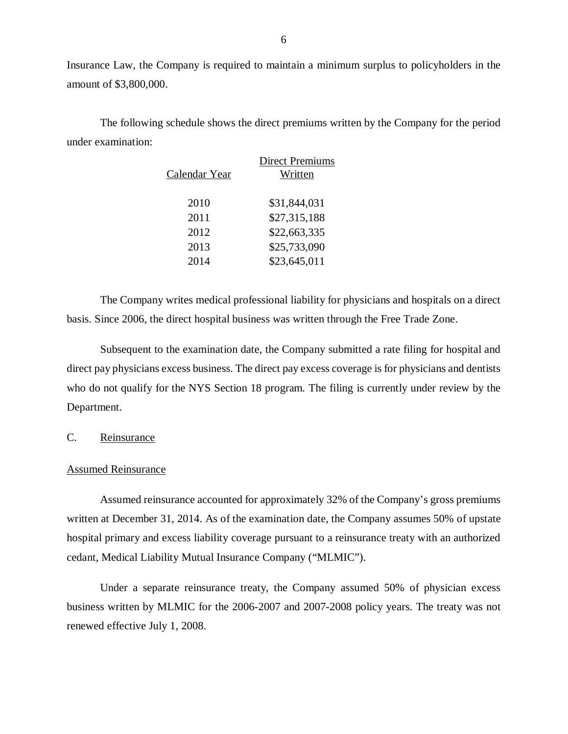Insurance Law, the Company is required to maintain a minimum surplus to policyholders in the amount of \$3,800,000.

The following schedule shows the direct premiums written by the Company for the period under examination:

|               | <b>Direct Premiums</b> |
|---------------|------------------------|
| Calendar Year | Written                |
|               |                        |
| 2010          | \$31,844,031           |
| 2011          | \$27,315,188           |
| 2012          | \$22,663,335           |
| 2013          | \$25,733,090           |
| 2014          | \$23,645,011           |

The Company writes medical professional liability for physicians and hospitals on a direct basis. Since 2006, the direct hospital business was written through the Free Trade Zone.

Subsequent to the examination date, the Company submitted a rate filing for hospital and direct pay physicians excess business. The direct pay excess coverage is for physicians and dentists who do not qualify for the NYS Section 18 program. The filing is currently under review by the Department.

C. Reinsurance

### Assumed Reinsurance

Assumed reinsurance accounted for approximately 32% of the Company's gross premiums written at December 31, 2014. As of the examination date, the Company assumes 50% of upstate hospital primary and excess liability coverage pursuant to a reinsurance treaty with an authorized cedant, Medical Liability Mutual Insurance Company ("MLMIC").

Under a separate reinsurance treaty, the Company assumed 50% of physician excess business written by MLMIC for the 2006-2007 and 2007-2008 policy years. The treaty was not renewed effective July 1, 2008.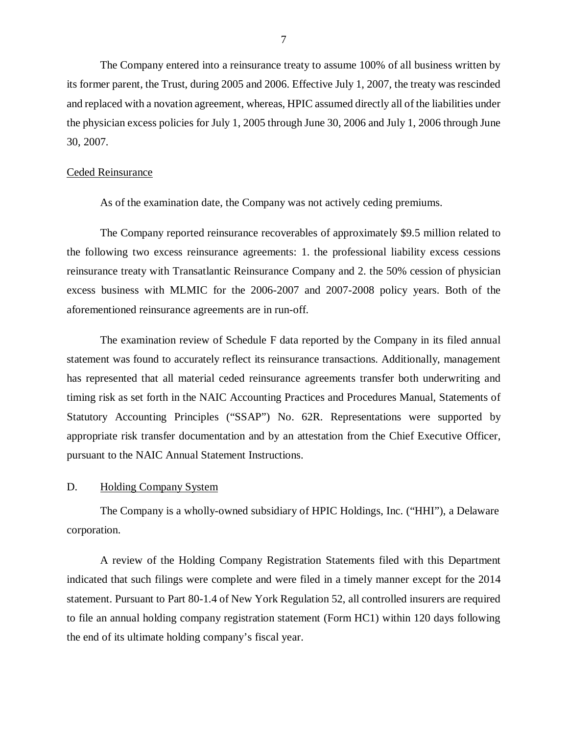<span id="page-8-0"></span>The Company entered into a reinsurance treaty to assume 100% of all business written by its former parent, the Trust, during 2005 and 2006. Effective July 1, 2007, the treaty was rescinded and replaced with a novation agreement, whereas, HPIC assumed directly all of the liabilities under the physician excess policies for July 1, 2005 through June 30, 2006 and July 1, 2006 through June 30, 2007.

## Ceded Reinsurance

As of the examination date, the Company was not actively ceding premiums.

The Company reported reinsurance recoverables of approximately \$9.5 million related to the following two excess reinsurance agreements: 1. the professional liability excess cessions reinsurance treaty with Transatlantic Reinsurance Company and 2. the 50% cession of physician excess business with MLMIC for the 2006-2007 and 2007-2008 policy years. Both of the aforementioned reinsurance agreements are in run-off.

The examination review of Schedule F data reported by the Company in its filed annual statement was found to accurately reflect its reinsurance transactions. Additionally, management has represented that all material ceded reinsurance agreements transfer both underwriting and timing risk as set forth in the NAIC Accounting Practices and Procedures Manual, Statements of Statutory Accounting Principles ("SSAP") No. 62R. Representations were supported by appropriate risk transfer documentation and by an attestation from the Chief Executive Officer, pursuant to the NAIC Annual Statement Instructions.

## D. Holding Company System

The Company is a wholly-owned subsidiary of HPIC Holdings, Inc. ("HHI"), a Delaware corporation.

A review of the Holding Company Registration Statements filed with this Department indicated that such filings were complete and were filed in a timely manner except for the 2014 statement. Pursuant to Part 80-1.4 of New York Regulation 52, all controlled insurers are required to file an annual holding company registration statement (Form HC1) within 120 days following the end of its ultimate holding company's fiscal year.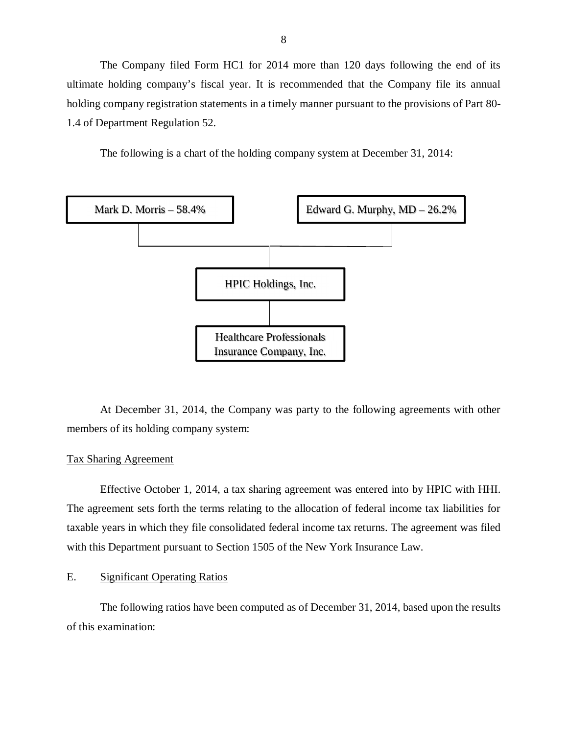<span id="page-9-0"></span>The Company filed Form HC1 for 2014 more than 120 days following the end of its ultimate holding company's fiscal year. It is recommended that the Company file its annual holding company registration statements in a timely manner pursuant to the provisions of Part 80- 1.4 of Department Regulation 52.

The following is a chart of the holding company system at December 31, 2014:



At December 31, 2014, the Company was party to the following agreements with other members of its holding company system:

## Tax Sharing Agreement

Effective October 1, 2014, a tax sharing agreement was entered into by HPIC with HHI. The agreement sets forth the terms relating to the allocation of federal income tax liabilities for taxable years in which they file consolidated federal income tax returns. The agreement was filed with this Department pursuant to Section 1505 of the New York Insurance Law.

## E. Significant Operating Ratios

The following ratios have been computed as of December 31, 2014, based upon the results of this examination: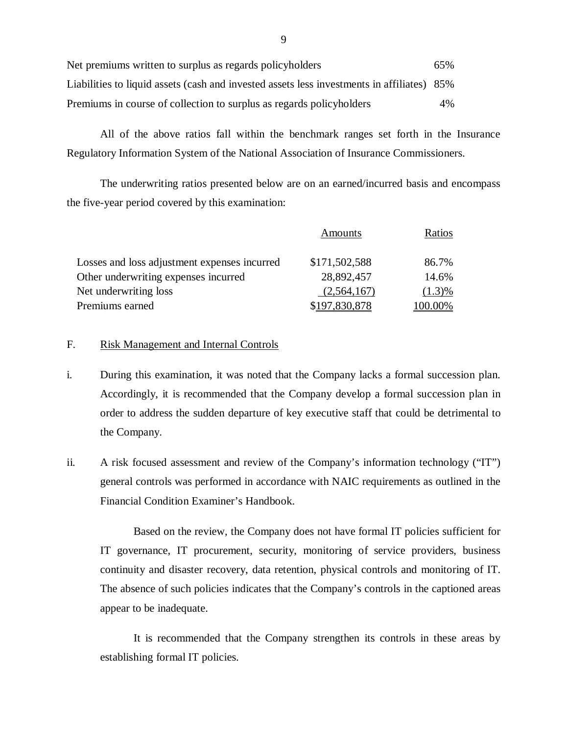| Net premiums written to surplus as regards policyholders                                   | 65% |
|--------------------------------------------------------------------------------------------|-----|
| Liabilities to liquid assets (cash and invested assets less investments in affiliates) 85% |     |
| Premiums in course of collection to surplus as regards policyholders                       | 4%  |

All of the above ratios fall within the benchmark ranges set forth in the Insurance Regulatory Information System of the National Association of Insurance Commissioners.

The underwriting ratios presented below are on an earned/incurred basis and encompass the five-year period covered by this examination:

|                                              | Amounts       | Ratios    |
|----------------------------------------------|---------------|-----------|
| Losses and loss adjustment expenses incurred | \$171,502,588 | 86.7%     |
| Other underwriting expenses incurred         | 28,892,457    | 14.6%     |
| Net underwriting loss                        | (2,564,167)   | $(1.3)\%$ |
| Premiums earned                              | \$197,830,878 | 100.00%   |

## F. Risk Management and Internal Controls

- i. During this examination, it was noted that the Company lacks a formal succession plan. Accordingly, it is recommended that the Company develop a formal succession plan in order to address the sudden departure of key executive staff that could be detrimental to the Company.
- ii. A risk focused assessment and review of the Company's information technology ("IT") general controls was performed in accordance with NAIC requirements as outlined in the Financial Condition Examiner's Handbook.

Based on the review, the Company does not have formal IT policies sufficient for IT governance, IT procurement, security, monitoring of service providers, business continuity and disaster recovery, data retention, physical controls and monitoring of IT. The absence of such policies indicates that the Company's controls in the captioned areas appear to be inadequate.

It is recommended that the Company strengthen its controls in these areas by establishing formal IT policies.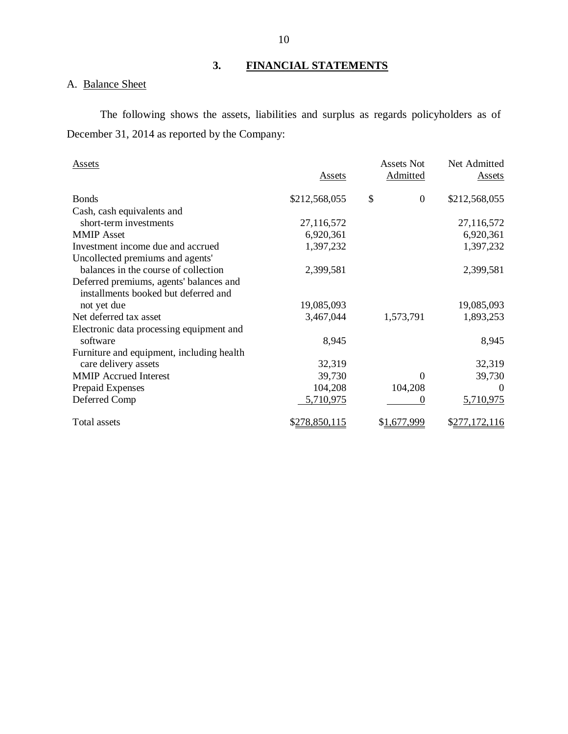# **3. FINANCIAL STATEMENTS**

# A. Balance Sheet

The following shows the assets, liabilities and surplus as regards policyholders as of December 31, 2014 as reported by the Company:

| <b>Assets</b>                             | <b>Assets</b> | <b>Assets Not</b><br>Admitted | Net Admitted<br><b>Assets</b> |
|-------------------------------------------|---------------|-------------------------------|-------------------------------|
| <b>Bonds</b>                              | \$212,568,055 | \$<br>$\mathbf{0}$            | \$212,568,055                 |
| Cash, cash equivalents and                |               |                               |                               |
| short-term investments                    | 27,116,572    |                               | 27,116,572                    |
| <b>MMIP</b> Asset                         | 6,920,361     |                               | 6,920,361                     |
| Investment income due and accrued         | 1,397,232     |                               | 1,397,232                     |
| Uncollected premiums and agents'          |               |                               |                               |
| balances in the course of collection      | 2,399,581     |                               | 2,399,581                     |
| Deferred premiums, agents' balances and   |               |                               |                               |
| installments booked but deferred and      |               |                               |                               |
| not yet due                               | 19,085,093    |                               | 19,085,093                    |
| Net deferred tax asset                    | 3,467,044     | 1,573,791                     | 1,893,253                     |
| Electronic data processing equipment and  |               |                               |                               |
| software                                  | 8,945         |                               | 8,945                         |
| Furniture and equipment, including health |               |                               |                               |
| care delivery assets                      | 32,319        |                               | 32,319                        |
| <b>MMIP Accrued Interest</b>              | 39,730        | $\theta$                      | 39,730                        |
| Prepaid Expenses                          | 104,208       | 104,208                       | $\theta$                      |
| Deferred Comp                             | 5,710,975     | $\theta$                      | 5,710,975                     |
|                                           |               |                               |                               |
| Total assets                              | \$278,850,115 | \$1,677,999                   | \$277,172,116                 |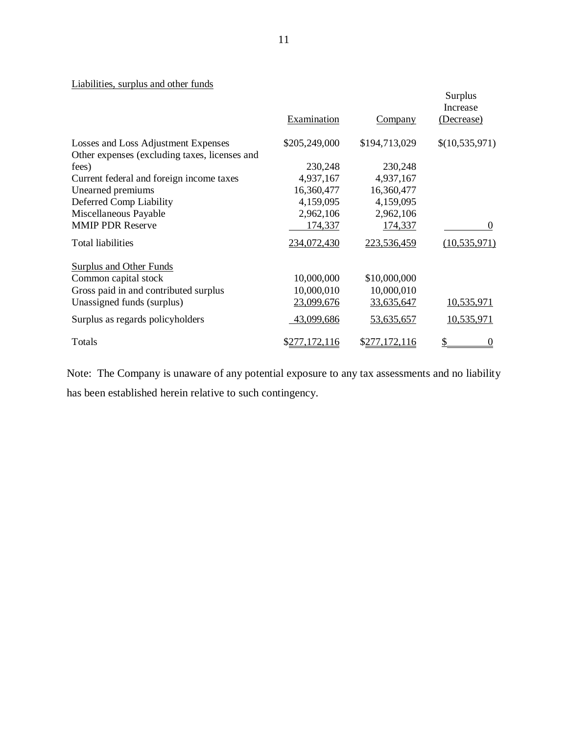# Liabilities, surplus and other funds

| <u><b>Montres, sei pres eine scher reines</b></u> | Examination   | <b>Company</b> | <b>Surplus</b><br>Increase<br>(Decrease) |
|---------------------------------------------------|---------------|----------------|------------------------------------------|
| Losses and Loss Adjustment Expenses               | \$205,249,000 | \$194,713,029  | \$(10,535,971)                           |
| Other expenses (excluding taxes, licenses and     |               |                |                                          |
| fees)                                             | 230,248       | 230,248        |                                          |
| Current federal and foreign income taxes          | 4,937,167     | 4,937,167      |                                          |
| Unearned premiums                                 | 16,360,477    | 16,360,477     |                                          |
| Deferred Comp Liability                           | 4,159,095     | 4,159,095      |                                          |
| Miscellaneous Payable                             | 2,962,106     | 2,962,106      |                                          |
| <b>MMIP PDR Reserve</b>                           | 174,337       | 174,337        | $\Omega$                                 |
| <b>Total liabilities</b>                          | 234,072,430   | 223,536,459    | (10, 535, 971)                           |
| <b>Surplus and Other Funds</b>                    |               |                |                                          |
| Common capital stock                              | 10,000,000    | \$10,000,000   |                                          |
| Gross paid in and contributed surplus             | 10,000,010    | 10,000,010     |                                          |
| Unassigned funds (surplus)                        | 23,099,676    | 33,635,647     | 10,535,971                               |
| Surplus as regards policyholders                  | 43,099,686    | 53,635,657     | 10,535,971                               |
| Totals                                            | \$277,172,116 | \$277,172,116  |                                          |

Note: The Company is unaware of any potential exposure to any tax assessments and no liability has been established herein relative to such contingency.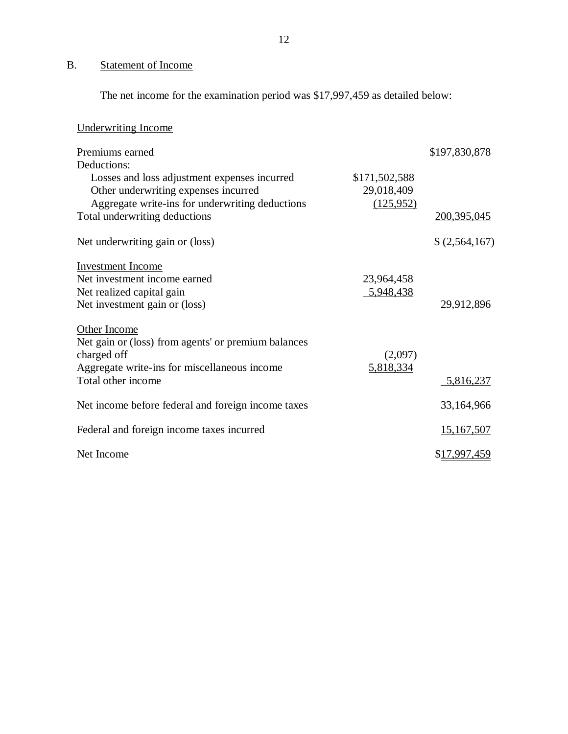# B. Statement of Income

The net income for the examination period was \$17,997,459 as detailed below:

| <b>Underwriting Income</b>                          |               |                      |
|-----------------------------------------------------|---------------|----------------------|
| Premiums earned                                     |               | \$197,830,878        |
| Deductions:                                         |               |                      |
| Losses and loss adjustment expenses incurred        | \$171,502,588 |                      |
| Other underwriting expenses incurred                | 29,018,409    |                      |
| Aggregate write-ins for underwriting deductions     | (125, 952)    |                      |
| Total underwriting deductions                       |               | 200,395,045          |
| Net underwriting gain or (loss)                     |               | \$(2,564,167)        |
| <b>Investment Income</b>                            |               |                      |
| Net investment income earned                        | 23,964,458    |                      |
| Net realized capital gain                           | 5,948,438     |                      |
| Net investment gain or (loss)                       |               | 29,912,896           |
| Other Income                                        |               |                      |
| Net gain or (loss) from agents' or premium balances |               |                      |
| charged off                                         | (2,097)       |                      |
| Aggregate write-ins for miscellaneous income        | 5,818,334     |                      |
| Total other income                                  |               | 5,816,237            |
| Net income before federal and foreign income taxes  |               | 33,164,966           |
| Federal and foreign income taxes incurred           |               | 15,167,507           |
| Net Income                                          |               | \$ <u>17,997,459</u> |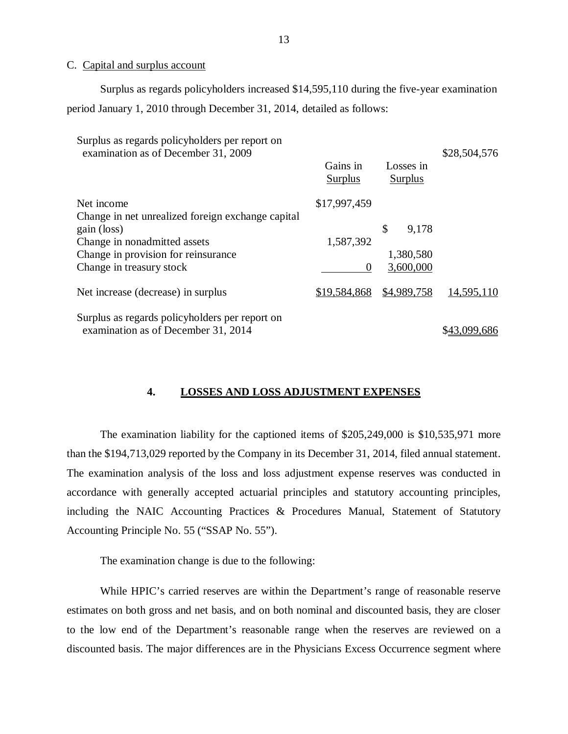## C. Capital and surplus account

Surplus as regards policyholders increased \$14,595,110 during the five-year examination period January 1, 2010 through December 31, 2014, detailed as follows:

| Surplus as regards policyholders per report on<br>examination as of December 31, 2009                                                                               | Gains in<br><b>Surplus</b>     | Losses in<br>Surplus                  | \$28,504,576 |
|---------------------------------------------------------------------------------------------------------------------------------------------------------------------|--------------------------------|---------------------------------------|--------------|
| Net income                                                                                                                                                          | \$17,997,459                   |                                       |              |
| Change in net unrealized foreign exchange capital<br>gain (loss)<br>Change in nonadmitted assets<br>Change in provision for reinsurance<br>Change in treasury stock | 1,587,392<br>$\mathbf{\Omega}$ | \$<br>9,178<br>1,380,580<br>3,600,000 |              |
| Net increase (decrease) in surplus                                                                                                                                  | \$19,584,868                   | \$4,989,758                           | 14,595,110   |
| Surplus as regards policyholders per report on<br>examination as of December 31, 2014                                                                               |                                |                                       |              |

## **4. LOSSES AND LOSS ADJUSTMENT EXPENSES**

The examination liability for the captioned items of \$205,249,000 is \$10,535,971 more than the \$194,713,029 reported by the Company in its December 31, 2014, filed annual statement. The examination analysis of the loss and loss adjustment expense reserves was conducted in accordance with generally accepted actuarial principles and statutory accounting principles, including the NAIC Accounting Practices & Procedures Manual, Statement of Statutory Accounting Principle No. 55 ("SSAP No. 55").

The examination change is due to the following:

While HPIC's carried reserves are within the Department's range of reasonable reserve estimates on both gross and net basis, and on both nominal and discounted basis, they are closer to the low end of the Department's reasonable range when the reserves are reviewed on a discounted basis. The major differences are in the Physicians Excess Occurrence segment where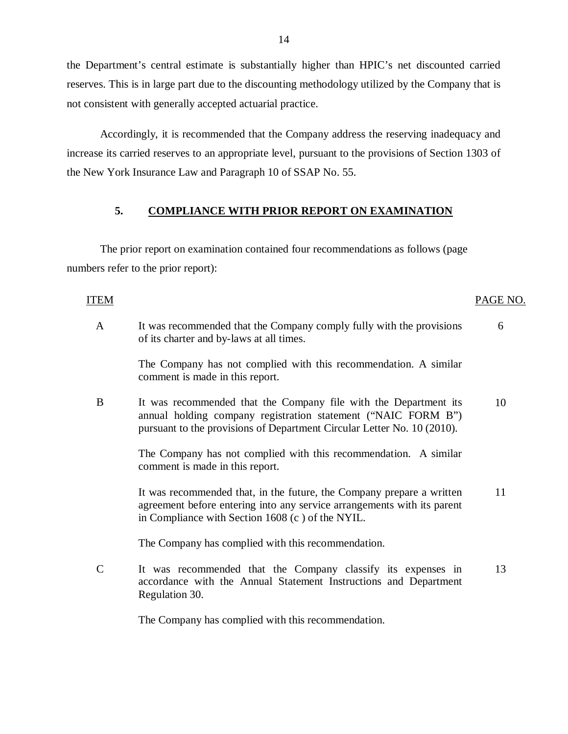the Department's central estimate is substantially higher than HPIC's net discounted carried reserves. This is in large part due to the discounting methodology utilized by the Company that is not consistent with generally accepted actuarial practice.

Accordingly, it is recommended that the Company address the reserving inadequacy and increase its carried reserves to an appropriate level, pursuant to the provisions of Section 1303 of the New York Insurance Law and Paragraph 10 of SSAP No. 55.

## **5. COMPLIANCE WITH PRIOR REPORT ON EXAMINATION**

The prior report on examination contained four recommendations as follows (page numbers refer to the prior report):

## ITEM PAGE NO.

- A It was recommended that the Company comply fully with the provisions of its charter and by-laws at all times. 6 The Company has not complied with this recommendation. A similar comment is made in this report.
- B It was recommended that the Company file with the Department its annual holding company registration statement ("NAIC FORM B") pursuant to the provisions of Department Circular Letter No. 10 (2010). 10

The Company has not complied with this recommendation. A similar comment is made in this report.

It was recommended that, in the future, the Company prepare a written agreement before entering into any service arrangements with its parent in Compliance with Section 1608 (c ) of the NYIL. 11

The Company has complied with this recommendation.

C It was recommended that the Company classify its expenses in accordance with the Annual Statement Instructions and Department Regulation 30. 13

The Company has complied with this recommendation.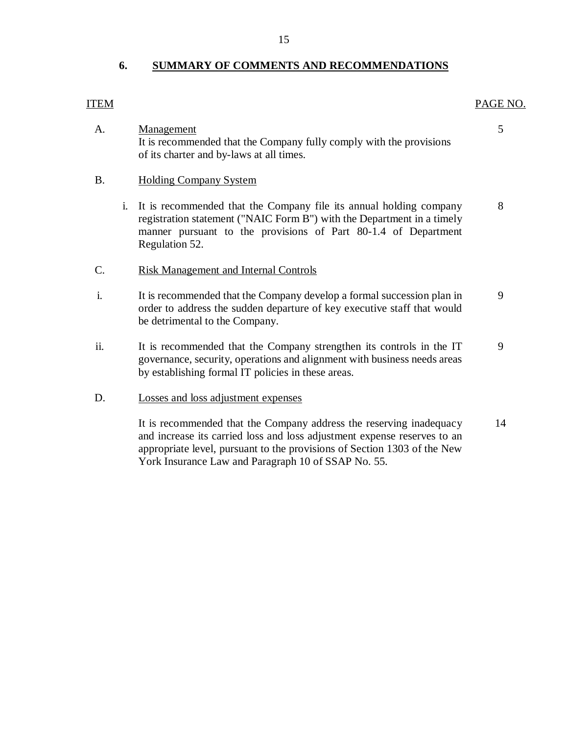## **6. SUMMARY OF COMMENTS AND RECOMMENDATIONS**

# A. Management 5 It is recommended that the Company fully comply with the provisions of its charter and by-laws at all times.

## B. Holding Company System

- i. It is recommended that the Company file its annual holding company 8 registration statement ("NAIC Form B") with the Department in a timely manner pursuant to the provisions of Part 80-1.4 of Department Regulation 52.
- C. Risk Management and Internal Controls
- i. It is recommended that the Company develop a formal succession plan in 9 order to address the sudden departure of key executive staff that would be detrimental to the Company.
- ii. It is recommended that the Company strengthen its controls in the IT 9 governance, security, operations and alignment with business needs areas by establishing formal IT policies in these areas.

## D. Losses and loss adjustment expenses

It is recommended that the Company address the reserving inadequacy 14 and increase its carried loss and loss adjustment expense reserves to an appropriate level, pursuant to the provisions of Section 1303 of the New York Insurance Law and Paragraph 10 of SSAP No. 55.

## <span id="page-16-0"></span>ITEM PAGE NO.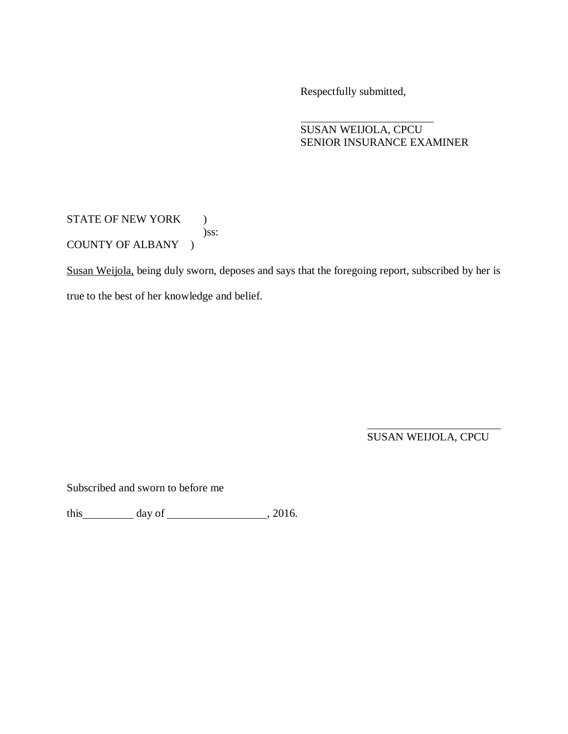Respectfully submitted,

## SUSAN WEIJOLA, CPCU SENIOR INSURANCE EXAMINER

STATE OF NEW YORK ) )ss: COUNTY OF ALBANY )

Susan Weijola, being duly sworn, deposes and says that the foregoing report, subscribed by her is true to the best of her knowledge and belief.

SUSAN WEIJOLA, CPCU

Subscribed and sworn to before me

this day of , 2016.